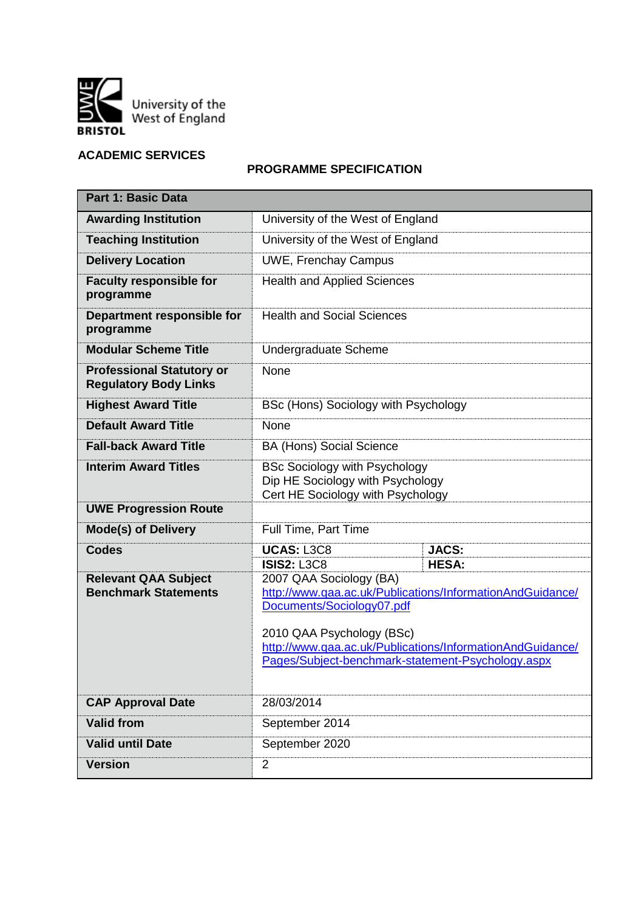

# **ACADEMIC SERVICES**

## **PROGRAMME SPECIFICATION**

| <b>Part 1: Basic Data</b>                                        |                                                                                                                                                              |                                                                                                                                        |  |  |  |  |
|------------------------------------------------------------------|--------------------------------------------------------------------------------------------------------------------------------------------------------------|----------------------------------------------------------------------------------------------------------------------------------------|--|--|--|--|
| <b>Awarding Institution</b>                                      | University of the West of England                                                                                                                            |                                                                                                                                        |  |  |  |  |
| <b>Teaching Institution</b>                                      | University of the West of England                                                                                                                            |                                                                                                                                        |  |  |  |  |
| <b>Delivery Location</b>                                         | <b>UWE, Frenchay Campus</b>                                                                                                                                  |                                                                                                                                        |  |  |  |  |
| <b>Faculty responsible for</b><br>programme                      | <b>Health and Applied Sciences</b>                                                                                                                           |                                                                                                                                        |  |  |  |  |
| Department responsible for<br>programme                          | <b>Health and Social Sciences</b>                                                                                                                            |                                                                                                                                        |  |  |  |  |
| <b>Modular Scheme Title</b>                                      | Undergraduate Scheme                                                                                                                                         |                                                                                                                                        |  |  |  |  |
| <b>Professional Statutory or</b><br><b>Regulatory Body Links</b> | None                                                                                                                                                         |                                                                                                                                        |  |  |  |  |
| <b>Highest Award Title</b>                                       | BSc (Hons) Sociology with Psychology                                                                                                                         |                                                                                                                                        |  |  |  |  |
| <b>Default Award Title</b>                                       | <b>None</b>                                                                                                                                                  |                                                                                                                                        |  |  |  |  |
| <b>Fall-back Award Title</b>                                     | <b>BA (Hons) Social Science</b>                                                                                                                              |                                                                                                                                        |  |  |  |  |
| <b>Interim Award Titles</b>                                      | <b>BSc Sociology with Psychology</b><br>Dip HE Sociology with Psychology<br>Cert HE Sociology with Psychology                                                |                                                                                                                                        |  |  |  |  |
| <b>UWE Progression Route</b>                                     |                                                                                                                                                              |                                                                                                                                        |  |  |  |  |
| <b>Mode(s) of Delivery</b>                                       | Full Time, Part Time                                                                                                                                         |                                                                                                                                        |  |  |  |  |
| <b>Codes</b>                                                     | <b>UCAS: L3C8</b>                                                                                                                                            | <b>JACS:</b>                                                                                                                           |  |  |  |  |
| <b>Relevant QAA Subject</b><br><b>Benchmark Statements</b>       | <b>ISIS2: L3C8</b><br>2007 QAA Sociology (BA)<br>Documents/Sociology07.pdf<br>2010 QAA Psychology (BSc)<br>Pages/Subject-benchmark-statement-Psychology.aspx | <b>HESA:</b><br>http://www.qaa.ac.uk/Publications/InformationAndGuidance/<br>http://www.qaa.ac.uk/Publications/InformationAndGuidance/ |  |  |  |  |
|                                                                  |                                                                                                                                                              |                                                                                                                                        |  |  |  |  |
| <b>CAP Approval Date</b>                                         | 28/03/2014                                                                                                                                                   |                                                                                                                                        |  |  |  |  |
| <b>Valid from</b>                                                | September 2014                                                                                                                                               |                                                                                                                                        |  |  |  |  |
| <b>Valid until Date</b>                                          | September 2020                                                                                                                                               |                                                                                                                                        |  |  |  |  |
| <b>Version</b>                                                   | $\overline{2}$                                                                                                                                               |                                                                                                                                        |  |  |  |  |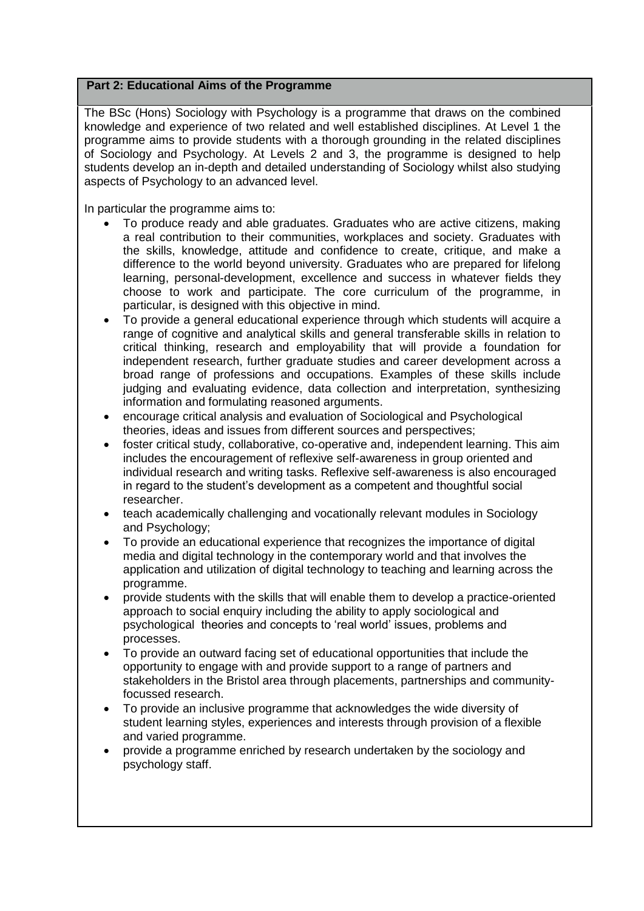### **Part 2: Educational Aims of the Programme**

The BSc (Hons) Sociology with Psychology is a programme that draws on the combined knowledge and experience of two related and well established disciplines. At Level 1 the programme aims to provide students with a thorough grounding in the related disciplines of Sociology and Psychology. At Levels 2 and 3, the programme is designed to help students develop an in-depth and detailed understanding of Sociology whilst also studying aspects of Psychology to an advanced level.

In particular the programme aims to:

- To produce ready and able graduates. Graduates who are active citizens, making a real contribution to their communities, workplaces and society. Graduates with the skills, knowledge, attitude and confidence to create, critique, and make a difference to the world beyond university. Graduates who are prepared for lifelong learning, personal-development, excellence and success in whatever fields they choose to work and participate. The core curriculum of the programme, in particular, is designed with this objective in mind.
- To provide a general educational experience through which students will acquire a range of cognitive and analytical skills and general transferable skills in relation to critical thinking, research and employability that will provide a foundation for independent research, further graduate studies and career development across a broad range of professions and occupations. Examples of these skills include judging and evaluating evidence, data collection and interpretation, synthesizing information and formulating reasoned arguments.
- encourage critical analysis and evaluation of Sociological and Psychological theories, ideas and issues from different sources and perspectives;
- foster critical study, collaborative, co-operative and, independent learning. This aim includes the encouragement of reflexive self-awareness in group oriented and individual research and writing tasks. Reflexive self-awareness is also encouraged in regard to the student's development as a competent and thoughtful social researcher.
- teach academically challenging and vocationally relevant modules in Sociology and Psychology;
- To provide an educational experience that recognizes the importance of digital media and digital technology in the contemporary world and that involves the application and utilization of digital technology to teaching and learning across the programme.
- provide students with the skills that will enable them to develop a practice-oriented approach to social enquiry including the ability to apply sociological and psychological theories and concepts to 'real world' issues, problems and processes.
- To provide an outward facing set of educational opportunities that include the opportunity to engage with and provide support to a range of partners and stakeholders in the Bristol area through placements, partnerships and communityfocussed research.
- To provide an inclusive programme that acknowledges the wide diversity of student learning styles, experiences and interests through provision of a flexible and varied programme.
- provide a programme enriched by research undertaken by the sociology and psychology staff.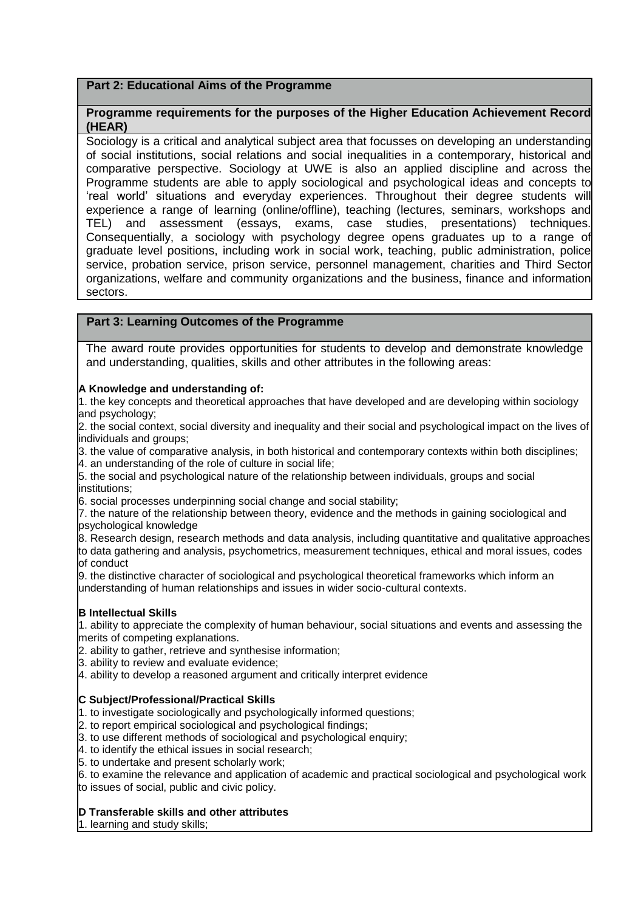### **Part 2: Educational Aims of the Programme**

## **Programme requirements for the purposes of the Higher Education Achievement Record (HEAR)**

Sociology is a critical and analytical subject area that focusses on developing an understanding of social institutions, social relations and social inequalities in a contemporary, historical and comparative perspective. Sociology at UWE is also an applied discipline and across the Programme students are able to apply sociological and psychological ideas and concepts to 'real world' situations and everyday experiences. Throughout their degree students will experience a range of learning (online/offline), teaching (lectures, seminars, workshops and TEL) and assessment (essays, exams, case studies, presentations) techniques. Consequentially, a sociology with psychology degree opens graduates up to a range of graduate level positions, including work in social work, teaching, public administration, police service, probation service, prison service, personnel management, charities and Third Sector organizations, welfare and community organizations and the business, finance and information sectors.

#### **Part 3: Learning Outcomes of the Programme**

The award route provides opportunities for students to develop and demonstrate knowledge and understanding, qualities, skills and other attributes in the following areas:

#### **A Knowledge and understanding of:**

1. the key concepts and theoretical approaches that have developed and are developing within sociology and psychology;

2. the social context, social diversity and inequality and their social and psychological impact on the lives of individuals and groups;

3. the value of comparative analysis, in both historical and contemporary contexts within both disciplines;

4. an understanding of the role of culture in social life;

5. the social and psychological nature of the relationship between individuals, groups and social institutions;

6. social processes underpinning social change and social stability;

7. the nature of the relationship between theory, evidence and the methods in gaining sociological and psychological knowledge

8. Research design, research methods and data analysis, including quantitative and qualitative approaches to data gathering and analysis, psychometrics, measurement techniques, ethical and moral issues, codes of conduct

9. the distinctive character of sociological and psychological theoretical frameworks which inform an understanding of human relationships and issues in wider socio-cultural contexts.

#### **B Intellectual Skills**

1. ability to appreciate the complexity of human behaviour, social situations and events and assessing the merits of competing explanations.

2. ability to gather, retrieve and synthesise information;

3. ability to review and evaluate evidence;

4. ability to develop a reasoned argument and critically interpret evidence

#### **C Subject/Professional/Practical Skills**

1. to investigate sociologically and psychologically informed questions;

2. to report empirical sociological and psychological findings;

3. to use different methods of sociological and psychological enquiry;

4. to identify the ethical issues in social research;

5. to undertake and present scholarly work;

6. to examine the relevance and application of academic and practical sociological and psychological work to issues of social, public and civic policy.

#### **D Transferable skills and other attributes**

1. learning and study skills;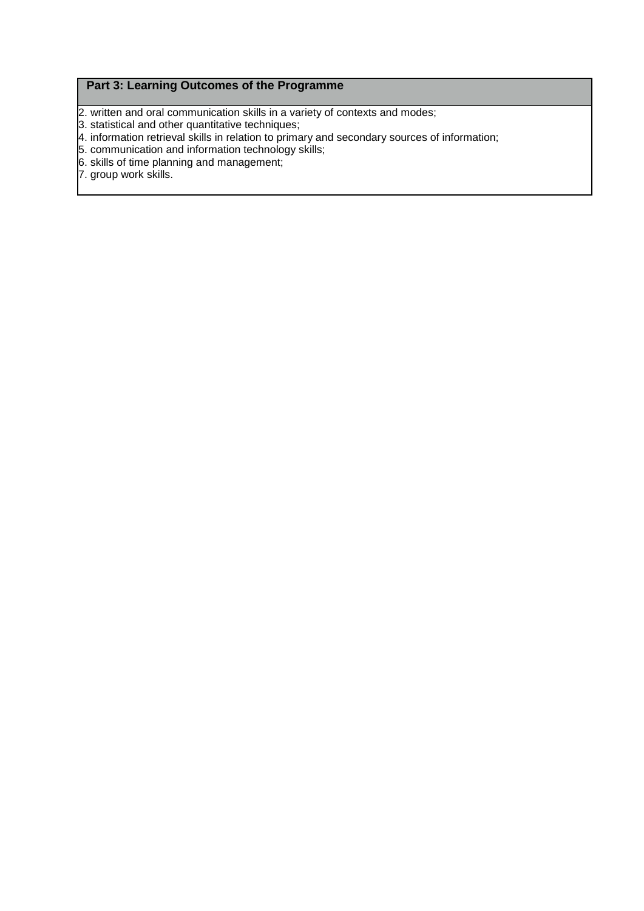## **Part 3: Learning Outcomes of the Programme**

2. written and oral communication skills in a variety of contexts and modes;

- 3. statistical and other quantitative techniques;
- 4. information retrieval skills in relation to primary and secondary sources of information;
- 5. communication and information technology skills;
- 6. skills of time planning and management;
- 7. group work skills.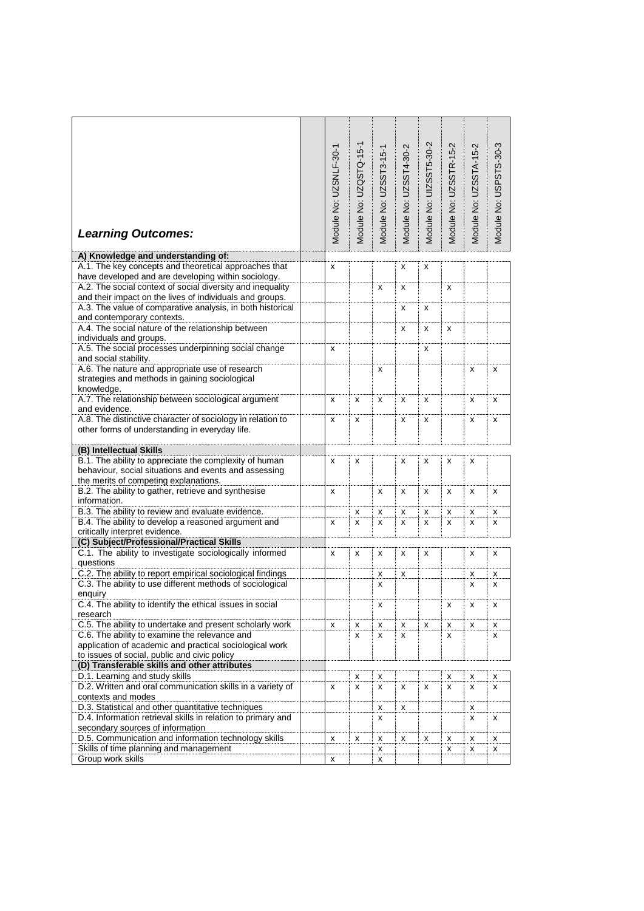|                                                                                                                         |                        | Module No: UZQSTQ-15-1 |                        |                        | Module No: UIZSST5-30-2 | Module No: UZSSTR-15-2 | Module No: UZSSTA-15-2 | Module No: USPSTS-30-3 |
|-------------------------------------------------------------------------------------------------------------------------|------------------------|------------------------|------------------------|------------------------|-------------------------|------------------------|------------------------|------------------------|
|                                                                                                                         |                        |                        |                        |                        |                         |                        |                        |                        |
|                                                                                                                         |                        |                        |                        |                        |                         |                        |                        |                        |
|                                                                                                                         |                        |                        |                        |                        |                         |                        |                        |                        |
|                                                                                                                         |                        |                        |                        |                        |                         |                        |                        |                        |
|                                                                                                                         |                        |                        |                        |                        |                         |                        |                        |                        |
|                                                                                                                         |                        |                        |                        |                        |                         |                        |                        |                        |
|                                                                                                                         |                        |                        |                        |                        |                         |                        |                        |                        |
| <b>Learning Outcomes:</b>                                                                                               | Module No: UZSNLF-30-1 |                        | Module No: UZSST3-15-1 | Module No: UZSST4-30-2 |                         |                        |                        |                        |
|                                                                                                                         |                        |                        |                        |                        |                         |                        |                        |                        |
| A) Knowledge and understanding of:                                                                                      |                        |                        |                        |                        |                         |                        |                        |                        |
| A.1. The key concepts and theoretical approaches that                                                                   | x                      |                        |                        | x                      | x                       |                        |                        |                        |
| have developed and are developing within sociology.                                                                     |                        |                        |                        |                        |                         |                        |                        |                        |
| A.2. The social context of social diversity and inequality                                                              |                        |                        | X                      | x                      |                         | x                      |                        |                        |
| and their impact on the lives of individuals and groups.                                                                |                        |                        |                        |                        |                         |                        |                        |                        |
| A.3. The value of comparative analysis, in both historical<br>and contemporary contexts.                                |                        |                        |                        | x                      | x                       |                        |                        |                        |
| A.4. The social nature of the relationship between                                                                      |                        |                        |                        | x                      | x                       | x                      |                        |                        |
| individuals and groups.                                                                                                 |                        |                        |                        |                        |                         |                        |                        |                        |
| A.5. The social processes underpinning social change                                                                    | x                      |                        |                        |                        | x                       |                        |                        |                        |
| and social stability.                                                                                                   |                        |                        |                        |                        |                         |                        |                        |                        |
| A.6. The nature and appropriate use of research                                                                         |                        |                        | x                      |                        |                         |                        | x                      | х                      |
| strategies and methods in gaining sociological                                                                          |                        |                        |                        |                        |                         |                        |                        |                        |
| knowledge.                                                                                                              |                        |                        |                        |                        |                         |                        |                        |                        |
| A.7. The relationship between sociological argument                                                                     | x                      | x                      | x                      | x                      | x                       |                        | x                      | х                      |
| and evidence.                                                                                                           |                        |                        |                        |                        |                         |                        |                        |                        |
| A.8. The distinctive character of sociology in relation to                                                              | x                      | x                      |                        | х                      | x                       |                        | x                      | х                      |
| other forms of understanding in everyday life.                                                                          |                        |                        |                        |                        |                         |                        |                        |                        |
| (B) Intellectual Skills                                                                                                 |                        |                        |                        |                        |                         |                        |                        |                        |
| B.1. The ability to appreciate the complexity of human                                                                  | x                      | x                      |                        | x                      | x                       | x                      | x                      |                        |
| behaviour, social situations and events and assessing                                                                   |                        |                        |                        |                        |                         |                        |                        |                        |
| the merits of competing explanations.                                                                                   |                        |                        |                        |                        |                         |                        |                        |                        |
| B.2. The ability to gather, retrieve and synthesise                                                                     | x                      |                        | x                      | х                      | x                       | x                      | x                      | х                      |
| information.                                                                                                            |                        |                        |                        |                        |                         |                        |                        |                        |
| B.3. The ability to review and evaluate evidence.                                                                       |                        | x                      | x                      | x                      | x                       | x                      | x                      | x                      |
| B.4. The ability to develop a reasoned argument and                                                                     | x                      | x                      | x                      | x                      | x                       | x                      | x                      | x                      |
| critically interpret evidence.                                                                                          |                        |                        |                        |                        |                         |                        |                        |                        |
| (C) Subject/Professional/Practical Skills                                                                               |                        |                        |                        |                        |                         |                        |                        |                        |
| C.1. The ability to investigate sociologically informed                                                                 | x                      | X                      | X                      | x                      | x                       |                        | x                      | x                      |
| questions                                                                                                               |                        |                        |                        |                        |                         |                        |                        |                        |
| C.2. The ability to report empirical sociological findings<br>C.3. The ability to use different methods of sociological |                        |                        | х                      | х                      |                         |                        | x                      | x                      |
| enquiry                                                                                                                 |                        |                        | x                      |                        |                         |                        | x                      | x                      |
| C.4. The ability to identify the ethical issues in social                                                               |                        |                        | х                      |                        |                         | x                      | x                      | х                      |
| research                                                                                                                |                        |                        |                        |                        |                         |                        |                        |                        |
| C.5. The ability to undertake and present scholarly work                                                                | x                      | x                      | x                      | X                      | x                       | х                      | x                      | x                      |
| C.6. The ability to examine the relevance and                                                                           |                        | x                      | x                      | x                      |                         | x                      |                        | x                      |
| application of academic and practical sociological work                                                                 |                        |                        |                        |                        |                         |                        |                        |                        |
| to issues of social, public and civic policy                                                                            |                        |                        |                        |                        |                         |                        |                        |                        |
| (D) Transferable skills and other attributes                                                                            |                        |                        |                        |                        |                         |                        |                        |                        |
| D.1. Learning and study skills                                                                                          |                        | x                      | x                      |                        |                         | х                      | x                      | x                      |
| D.2. Written and oral communication skills in a variety of                                                              | x                      | x                      | x                      | x                      | x                       | x                      | x                      | x                      |
| contexts and modes                                                                                                      |                        |                        |                        |                        |                         |                        |                        |                        |
| D.3. Statistical and other quantitative techniques                                                                      |                        |                        | x                      | x                      |                         |                        | x                      |                        |
| D.4. Information retrieval skills in relation to primary and                                                            |                        |                        | x                      |                        |                         |                        | x                      | х                      |
| secondary sources of information                                                                                        |                        |                        |                        |                        |                         |                        |                        |                        |
| D.5. Communication and information technology skills<br>Skills of time planning and management                          | x                      | x                      | x<br>x                 | x                      | x                       | x<br>x                 | x<br>x                 | X                      |
| Group work skills                                                                                                       | x                      |                        | x                      |                        |                         |                        |                        | х                      |
|                                                                                                                         |                        |                        |                        |                        |                         |                        |                        |                        |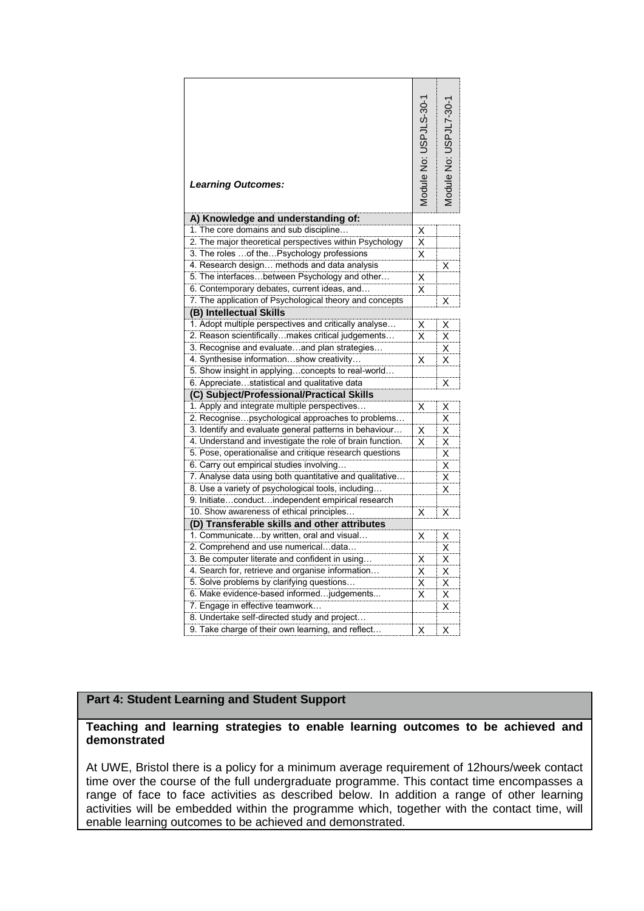| <b>Learning Outcomes:</b>                                                                              | Module No: USPJLS-30-1          | Aodule No: USPJL7-30- |
|--------------------------------------------------------------------------------------------------------|---------------------------------|-----------------------|
| A) Knowledge and understanding of:                                                                     |                                 |                       |
| 1. The core domains and sub discipline                                                                 | $\frac{\mathsf{x}}{\mathsf{x}}$ |                       |
| 2. The major theoretical perspectives within Psychology<br>3. The roles  of the Psychology professions | $\overline{\mathsf{x}}$         |                       |
| 4. Research design methods and data analysis                                                           |                                 | Χ                     |
| 5. The interfacesbetween Psychology and other                                                          | $\overline{\mathsf{x}}$         |                       |
| 6. Contemporary debates, current ideas, and                                                            | $\overline{\mathsf{x}}$         |                       |
| 7. The application of Psychological theory and concepts                                                |                                 | Χ                     |
| (B) Intellectual Skills                                                                                |                                 |                       |
| 1. Adopt multiple perspectives and critically analyse                                                  | X                               | Χ                     |
| 2. Reason scientifically makes critical judgements                                                     | $\overline{\mathsf{x}}$         | X                     |
| 3. Recognise and evaluateand plan strategies                                                           |                                 | Χ                     |
| 4. Synthesise informationshow creativity                                                               | X                               | X                     |
| 5. Show insight in applyingconcepts to real-world                                                      |                                 |                       |
| 6. Appreciatestatistical and qualitative data                                                          |                                 | Χ                     |
| (C) Subject/Professional/Practical Skills                                                              |                                 |                       |
| 1. Apply and integrate multiple perspectives                                                           | Χ                               | Х                     |
| 2. Recognisepsychological approaches to problems                                                       |                                 | X                     |
| 3. Identify and evaluate general patterns in behaviour                                                 | X                               | Χ                     |
| 4. Understand and investigate the role of brain function.                                              | X                               | Χ                     |
| 5. Pose, operationalise and critique research questions                                                |                                 | Χ                     |
| 6. Carry out empirical studies involving                                                               |                                 | Χ                     |
| 7. Analyse data using both quantitative and qualitative                                                |                                 | Χ                     |
| 8. Use a variety of psychological tools, including                                                     |                                 | Χ                     |
| 9. Initiateconductindependent empirical research                                                       |                                 |                       |
| 10. Show awareness of ethical principles                                                               | Χ                               | Χ                     |
| (D) Transferable skills and other attributes<br>1. Communicateby written, oral and visual              | X                               | Χ                     |
| 2. Comprehend and use numericaldata                                                                    |                                 | X                     |
| 3. Be computer literate and confident in using                                                         | Χ                               | Χ                     |
| 4. Search for, retrieve and organise information                                                       | $\overline{\mathsf{x}}$         | Χ                     |
| 5. Solve problems by clarifying questions                                                              | $\overline{x}$                  | X                     |
| 6. Make evidence-based informed judgements                                                             | Χ                               | X                     |
| 7. Engage in effective teamwork                                                                        |                                 | Χ                     |
| 8. Undertake self-directed study and project                                                           |                                 |                       |
| 9. Take charge of their own learning, and reflect                                                      | X                               | Χ                     |

# **Part 4: Student Learning and Student Support**

#### **Teaching and learning strategies to enable learning outcomes to be achieved and demonstrated**

At UWE, Bristol there is a policy for a minimum average requirement of 12hours/week contact time over the course of the full undergraduate programme. This contact time encompasses a range of face to face activities as described below. In addition a range of other learning activities will be embedded within the programme which, together with the contact time, will enable learning outcomes to be achieved and demonstrated.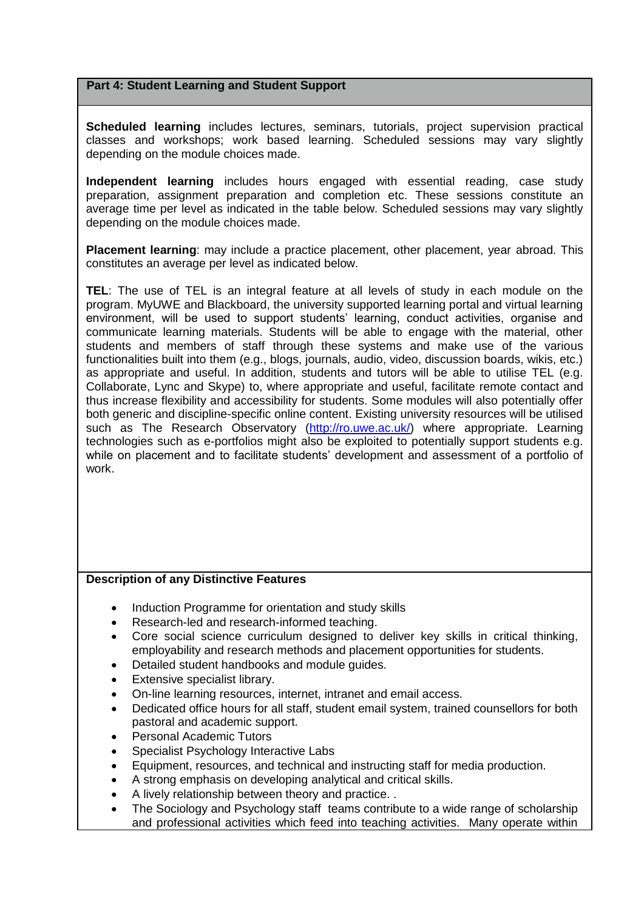#### **Part 4: Student Learning and Student Support**

**Scheduled learning** includes lectures, seminars, tutorials, project supervision practical classes and workshops; work based learning. Scheduled sessions may vary slightly depending on the module choices made.

**Independent learning** includes hours engaged with essential reading, case study preparation, assignment preparation and completion etc. These sessions constitute an average time per level as indicated in the table below. Scheduled sessions may vary slightly depending on the module choices made.

**Placement learning**: may include a practice placement, other placement, year abroad. This constitutes an average per level as indicated below.

**TEL**: The use of TEL is an integral feature at all levels of study in each module on the program. MyUWE and Blackboard, the university supported learning portal and virtual learning environment, will be used to support students' learning, conduct activities, organise and communicate learning materials. Students will be able to engage with the material, other students and members of staff through these systems and make use of the various functionalities built into them (e.g., blogs, journals, audio, video, discussion boards, wikis, etc.) as appropriate and useful. In addition, students and tutors will be able to utilise TEL (e.g. Collaborate, Lync and Skype) to, where appropriate and useful, facilitate remote contact and thus increase flexibility and accessibility for students. Some modules will also potentially offer both generic and discipline-specific online content. Existing university resources will be utilised such as The Research Observatory [\(http://ro.uwe.ac.uk/\)](http://ro.uwe.ac.uk/) where appropriate. Learning technologies such as e-portfolios might also be exploited to potentially support students e.g. while on placement and to facilitate students' development and assessment of a portfolio of work.

#### **Description of any Distinctive Features**

- Induction Programme for orientation and study skills
- Research-led and research-informed teaching.
- Core social science curriculum designed to deliver key skills in critical thinking, employability and research methods and placement opportunities for students.
- Detailed student handbooks and module guides.
- Extensive specialist library.
- On-line learning resources, internet, intranet and email access.
- Dedicated office hours for all staff, student email system, trained counsellors for both pastoral and academic support.
- Personal Academic Tutors
- Specialist Psychology Interactive Labs
- Equipment, resources, and technical and instructing staff for media production.
- A strong emphasis on developing analytical and critical skills.
- A lively relationship between theory and practice. .
- The Sociology and Psychology staff teams contribute to a wide range of scholarship and professional activities which feed into teaching activities. Many operate within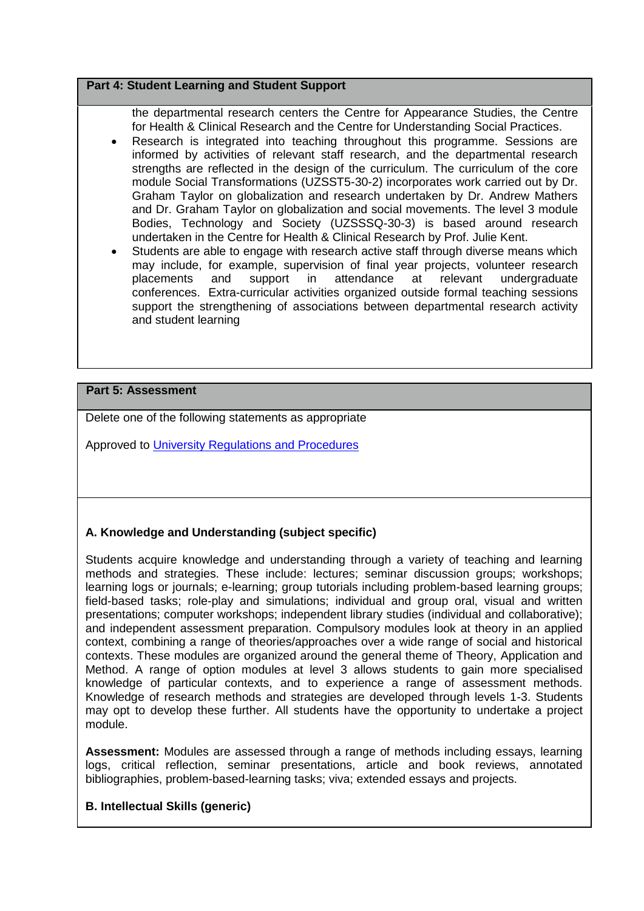#### **Part 4: Student Learning and Student Support**

the departmental research centers the Centre for Appearance Studies, the Centre for Health & Clinical Research and the Centre for Understanding Social Practices.

- Research is integrated into teaching throughout this programme. Sessions are informed by activities of relevant staff research, and the departmental research strengths are reflected in the design of the curriculum. The curriculum of the core module Social Transformations (UZSST5-30-2) incorporates work carried out by Dr. Graham Taylor on globalization and research undertaken by Dr. Andrew Mathers and Dr. Graham Taylor on globalization and social movements. The level 3 module Bodies, Technology and Society (UZSSSQ-30-3) is based around research undertaken in the Centre for Health & Clinical Research by Prof. Julie Kent.
- Students are able to engage with research active staff through diverse means which may include, for example, supervision of final year projects, volunteer research placements and support in attendance at relevant undergraduate conferences. Extra-curricular activities organized outside formal teaching sessions support the strengthening of associations between departmental research activity and student learning

#### **Part 5: Assessment**

Delete one of the following statements as appropriate

Approved to [University Regulations and Procedures](http://www1.uwe.ac.uk/students/academicadvice/assessments/regulationsandprocedures.aspx)

## **A. Knowledge and Understanding (subject specific)**

Students acquire knowledge and understanding through a variety of teaching and learning methods and strategies. These include: lectures; seminar discussion groups; workshops; learning logs or journals; e-learning; group tutorials including problem-based learning groups; field-based tasks; role-play and simulations; individual and group oral, visual and written presentations; computer workshops; independent library studies (individual and collaborative); and independent assessment preparation. Compulsory modules look at theory in an applied context, combining a range of theories/approaches over a wide range of social and historical contexts. These modules are organized around the general theme of Theory, Application and Method. A range of option modules at level 3 allows students to gain more specialised knowledge of particular contexts, and to experience a range of assessment methods. Knowledge of research methods and strategies are developed through levels 1-3. Students may opt to develop these further. All students have the opportunity to undertake a project module.

**Assessment:** Modules are assessed through a range of methods including essays, learning logs, critical reflection, seminar presentations, article and book reviews, annotated bibliographies, problem-based-learning tasks; viva; extended essays and projects.

#### **B. Intellectual Skills (generic)**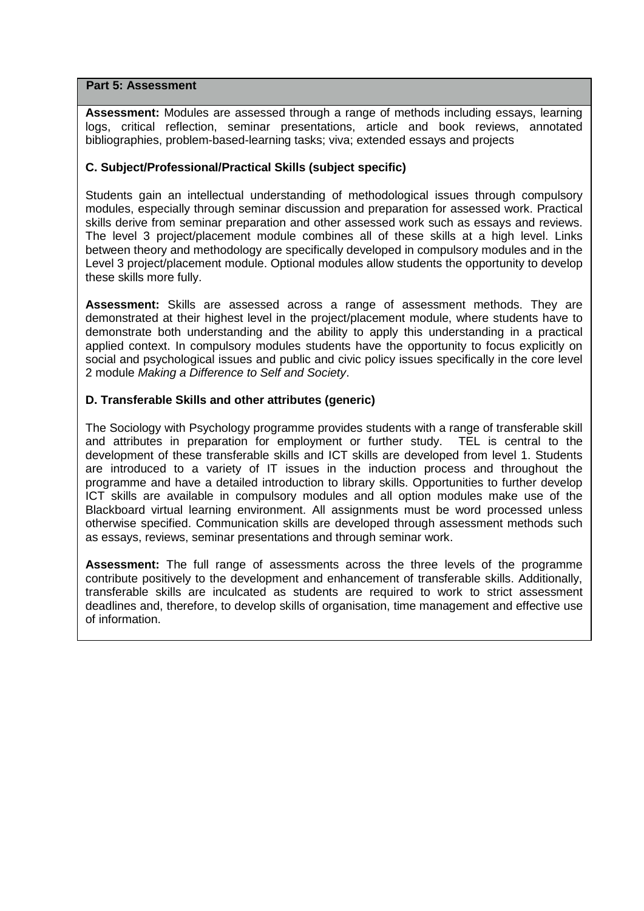#### **Part 5: Assessment**

**Assessment:** Modules are assessed through a range of methods including essays, learning logs, critical reflection, seminar presentations, article and book reviews, annotated bibliographies, problem-based-learning tasks; viva; extended essays and projects

## **C. Subject/Professional/Practical Skills (subject specific)**

Students gain an intellectual understanding of methodological issues through compulsory modules, especially through seminar discussion and preparation for assessed work. Practical skills derive from seminar preparation and other assessed work such as essays and reviews. The level 3 project/placement module combines all of these skills at a high level. Links between theory and methodology are specifically developed in compulsory modules and in the Level 3 project/placement module. Optional modules allow students the opportunity to develop these skills more fully.

**Assessment:** Skills are assessed across a range of assessment methods. They are demonstrated at their highest level in the project/placement module, where students have to demonstrate both understanding and the ability to apply this understanding in a practical applied context. In compulsory modules students have the opportunity to focus explicitly on social and psychological issues and public and civic policy issues specifically in the core level 2 module *Making a Difference to Self and Society*.

## **D. Transferable Skills and other attributes (generic)**

The Sociology with Psychology programme provides students with a range of transferable skill and attributes in preparation for employment or further study. TEL is central to the development of these transferable skills and ICT skills are developed from level 1. Students are introduced to a variety of IT issues in the induction process and throughout the programme and have a detailed introduction to library skills. Opportunities to further develop ICT skills are available in compulsory modules and all option modules make use of the Blackboard virtual learning environment. All assignments must be word processed unless otherwise specified. Communication skills are developed through assessment methods such as essays, reviews, seminar presentations and through seminar work.

**Assessment:** The full range of assessments across the three levels of the programme contribute positively to the development and enhancement of transferable skills. Additionally, transferable skills are inculcated as students are required to work to strict assessment deadlines and, therefore, to develop skills of organisation, time management and effective use of information.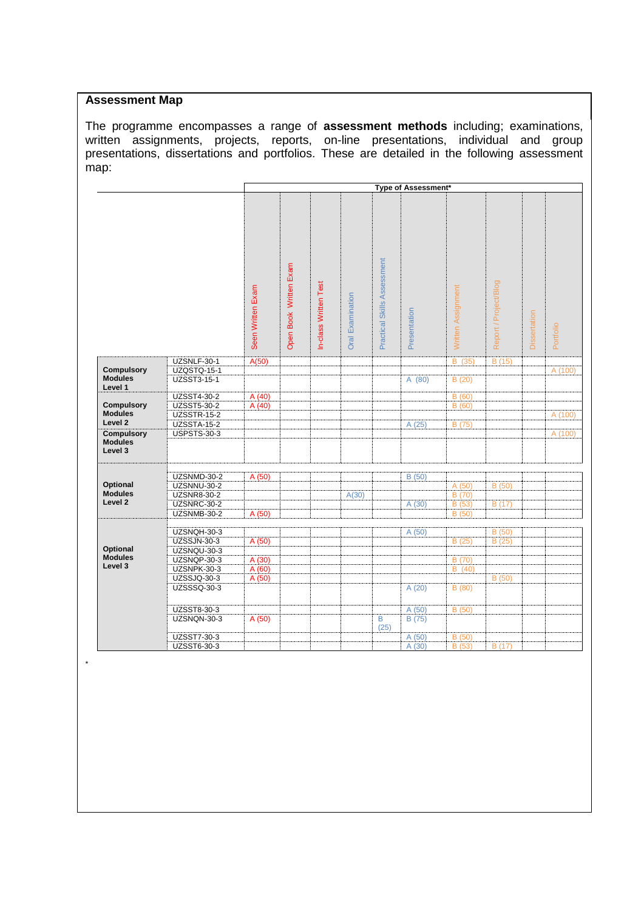#### **Assessment Map**

The programme encompasses a range of **assessment methods** including; examinations, written assignments, projects, reports, on-line presentations, individual and group presentations, dissertations and portfolios. These are detailed in the following assessment map:

|                                                |                            |                   | Type of Assessment*    |                       |                  |                             |              |                    |                       |              |           |
|------------------------------------------------|----------------------------|-------------------|------------------------|-----------------------|------------------|-----------------------------|--------------|--------------------|-----------------------|--------------|-----------|
|                                                |                            | Seen Written Exam | Open Book Written Exam | In-class Written Test | Oral Examination | Practical Skills Assessment | Presentation | Written Assignment | Report / Project/Blog | Dissertation | Portfolio |
|                                                | UZSNLF-30-1                | A(50)             |                        |                       |                  |                             |              | B (35)             | B(15)                 |              |           |
| <b>Compulsory</b>                              | <b>UZQSTQ-15-1</b>         |                   |                        |                       |                  |                             |              |                    |                       |              | A (100)   |
| <b>Modules</b><br>Level 1                      | UZSST3-15-1                |                   |                        |                       |                  |                             | A(80)        | B(20)              |                       |              |           |
|                                                | UZSST4-30-2                | A(40)             |                        |                       |                  |                             |              | B(60)              |                       |              |           |
| <b>Compulsory</b>                              | <b>UZSST5-30-2</b>         | A(40)             |                        |                       |                  |                             |              | B(60)              |                       |              |           |
| <b>Modules</b>                                 | <b>UZSSTR-15-2</b>         |                   |                        |                       |                  |                             |              |                    |                       |              | A (100)   |
| Level <sub>2</sub>                             | <b>UZSSTA-15-2</b>         |                   |                        |                       |                  |                             | A(25)        | B (75)             |                       |              |           |
| <b>Compulsory</b><br><b>Modules</b><br>Level 3 | <b>USPSTS-30-3</b>         |                   |                        |                       |                  |                             |              |                    |                       |              | A (100)   |
|                                                | UZSNMD-30-2                | A (50)            |                        |                       |                  |                             | B (50)       |                    |                       |              |           |
| Optional                                       | UZSNNU-30-2                |                   |                        |                       |                  |                             |              | A (50)             | B(50)                 |              |           |
| <b>Modules</b>                                 | <b>UZSNR8-30-2</b>         |                   |                        |                       | A(30)            |                             |              | B(70)              |                       |              |           |
| Level <sub>2</sub>                             | UZSNRC-30-2                |                   |                        |                       |                  |                             | A(30)        | B(53)              | B(17)                 |              |           |
|                                                | UZSNMB-30-2                | A (50)            |                        |                       |                  |                             |              | B (50)             |                       |              |           |
|                                                |                            |                   |                        |                       |                  |                             |              |                    |                       |              |           |
|                                                | UZSNQH-30-3                |                   |                        |                       |                  |                             | A (50)       |                    | B(50)                 |              |           |
| Optional                                       | <b>UZSSJN-30-3</b>         | A(50)             |                        |                       |                  |                             |              | B (25)             | B(25)                 |              |           |
| <b>Modules</b>                                 | UZSNQU-30-3                |                   |                        |                       |                  |                             |              |                    |                       |              |           |
| Level 3                                        | UZSNQP-30-3<br>UZSNPK-30-3 | A(30)             |                        |                       |                  |                             |              | B (70)<br>B(40)    |                       |              |           |
|                                                | UZSSJQ-30-3                | A(60)             |                        |                       |                  |                             |              |                    | B (50)                |              |           |
|                                                | UZSSSQ-30-3                | A (50)            |                        |                       |                  |                             | A(20)        | B(80)              |                       |              |           |
|                                                | UZSST8-30-3                |                   |                        |                       |                  |                             | A (50)       | B(50)              |                       |              |           |
|                                                | UZSNQN-30-3                | A (50)            |                        |                       |                  | B<br>(25)                   | B (75)       |                    |                       |              |           |
|                                                | UZSST7-30-3                |                   |                        |                       |                  |                             | A (50)       | B(50)              |                       |              |           |
|                                                | UZSST6-30-3                |                   |                        |                       |                  |                             | A(30)        | B(53)              | B(17)                 |              |           |

\*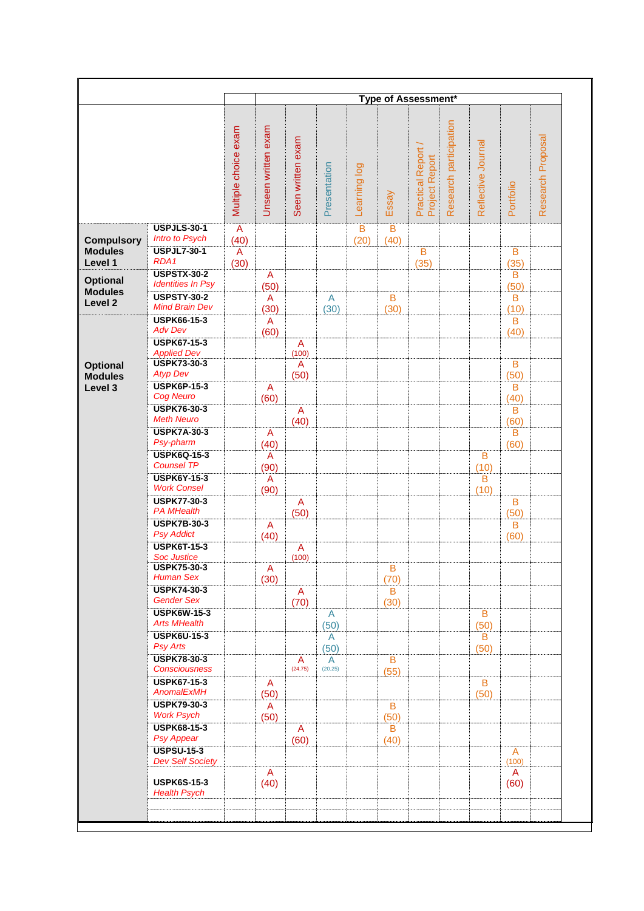|                                     |                                                |                      |                        |                      |                |              |           | Type of Assessment*                       |                        |                    |                       |                   |
|-------------------------------------|------------------------------------------------|----------------------|------------------------|----------------------|----------------|--------------|-----------|-------------------------------------------|------------------------|--------------------|-----------------------|-------------------|
|                                     |                                                |                      |                        |                      |                |              |           |                                           |                        |                    |                       |                   |
|                                     |                                                | Multiple choice exam | Unseen written exam    | Seen written exam    | Presentation   | Learning log | Essay     | <b>Practical Report</b><br>Project Report | Research participation | Reflective Journal | Portfolio             | Research Proposal |
|                                     | <b>USPJLS-30-1</b>                             | A                    |                        |                      |                | B            | B         |                                           |                        |                    |                       |                   |
| <b>Compulsory</b><br><b>Modules</b> | Intro to Psych<br><b>USPJL7-30-1</b>           | (40)<br>A            |                        |                      |                | (20)         | (40)      | $\overline{B}$                            |                        |                    | $\overline{B}$        |                   |
| Level 1                             | RDA1                                           | (30)                 |                        |                      |                |              |           | (35)                                      |                        |                    | (35)                  |                   |
| <b>Optional</b>                     | <b>USPSTX-30-2</b><br><b>Identities In Psy</b> |                      | A                      |                      |                |              |           |                                           |                        |                    | B                     |                   |
| <b>Modules</b>                      | <b>USPSTY-30-2</b>                             |                      | (50)<br>A              |                      | $\overline{A}$ |              | B         |                                           |                        |                    | (50)<br>B             |                   |
| Level 2                             | <b>Mind Brain Dev</b>                          |                      | (30)                   |                      | (30)           |              | (30)      |                                           |                        |                    | (10)                  |                   |
|                                     | <b>USPK66-15-3</b><br><b>Adv Dev</b>           |                      | A<br>(60)              |                      |                |              |           |                                           |                        |                    | B<br>(40)             |                   |
|                                     | <b>USPK67-15-3</b>                             |                      |                        | A                    |                |              |           |                                           |                        |                    |                       |                   |
| <b>Optional</b>                     | <b>Applied Dev</b><br><b>USPK73-30-3</b>       |                      |                        | (100)<br>A           |                |              |           |                                           |                        |                    | B                     |                   |
| <b>Modules</b>                      | <b>Atyp Dev</b>                                |                      |                        | (50)                 |                |              |           |                                           |                        |                    | (50)                  |                   |
| Level 3                             | <b>USPK6P-15-3</b><br><b>Cog Neuro</b>         |                      | A<br>(60)              |                      |                |              |           |                                           |                        |                    | B<br>(40)             |                   |
|                                     | <b>USPK76-30-3</b>                             |                      |                        | $\mathsf{A}$         |                |              |           |                                           |                        |                    | B                     |                   |
|                                     | <b>Meth Neuro</b>                              |                      |                        | (40)                 |                |              |           |                                           |                        |                    | (60)                  |                   |
|                                     | <b>USPK7A-30-3</b><br>Psy-pharm                |                      | A<br>(40)              |                      |                |              |           |                                           |                        |                    | $\mathsf B$<br>(60)   |                   |
|                                     | <b>USPK6Q-15-3</b>                             |                      | $\overline{A}$         |                      |                |              |           |                                           |                        | B                  |                       |                   |
|                                     | <b>Counsel TP</b>                              |                      | (90)                   |                      |                |              |           |                                           |                        | (10)               |                       |                   |
|                                     | <b>USPK6Y-15-3</b><br><b>Work Consel</b>       |                      | $\overline{A}$<br>(90) |                      |                |              |           |                                           |                        | B<br>(10)          |                       |                   |
|                                     | <b>USPK77-30-3</b>                             |                      |                        | $\overline{A}$       |                |              |           |                                           |                        |                    | B                     |                   |
|                                     | <b>PA MHealth</b><br><b>USPK7B-30-3</b>        |                      |                        | (50)                 |                |              |           |                                           |                        |                    | (50)                  |                   |
|                                     | <b>Psy Addict</b>                              |                      | A<br>(40)              |                      |                |              |           |                                           |                        |                    | B<br>(60)             |                   |
|                                     | <b>USPK6T-15-3</b>                             |                      |                        | $\mathsf{A}$         |                |              |           |                                           |                        |                    |                       |                   |
|                                     | <b>Soc Justice</b><br><b>USPK75-30-3</b>       |                      | A                      | (100)                |                |              | в         |                                           |                        |                    |                       |                   |
|                                     | <b>Human Sex</b>                               |                      | (30)                   |                      |                |              | (70)      |                                           |                        |                    |                       |                   |
|                                     | <b>USPK74-30-3</b><br><b>Gender Sex</b>        |                      |                        | $\overline{A}$       |                |              | B         |                                           |                        |                    |                       |                   |
|                                     | <b>USPK6W-15-3</b>                             |                      |                        | (70)                 | A              |              | (30)      |                                           |                        | B                  |                       |                   |
|                                     | <b>Arts MHealth</b>                            |                      |                        |                      | (50)           |              |           |                                           |                        | (50)               |                       |                   |
|                                     | <b>USPK6U-15-3</b><br><b>Psy Arts</b>          |                      |                        |                      | A<br>(50)      |              |           |                                           |                        | B<br>(50)          |                       |                   |
|                                     | <b>USPK78-30-3</b>                             |                      |                        | A                    | A              |              | $\sf B$   |                                           |                        |                    |                       |                   |
|                                     | <b>Consciousness</b>                           |                      |                        | (24.75)              | (20.25)        |              | (55)      |                                           |                        |                    |                       |                   |
|                                     | <b>USPK67-15-3</b><br>AnomalExMH               |                      | A<br>(50)              |                      |                |              |           |                                           |                        | B<br>(50)          |                       |                   |
|                                     | <b>USPK79-30-3</b>                             |                      | A                      |                      |                |              | B         |                                           |                        |                    |                       |                   |
|                                     | <b>Work Psych</b><br><b>USPK68-15-3</b>        |                      | (50)                   |                      |                |              | (50)      |                                           |                        |                    |                       |                   |
|                                     | Psy Appear                                     |                      |                        | $\mathsf{A}$<br>(60) |                |              | B<br>(40) |                                           |                        |                    |                       |                   |
|                                     | <b>USPSU-15-3</b>                              |                      |                        |                      |                |              |           |                                           |                        |                    | $\overline{A}$        |                   |
|                                     | <b>Dev Self Society</b>                        |                      | A                      |                      |                |              |           |                                           |                        |                    | (100)<br>$\mathsf{A}$ |                   |
|                                     | <b>USPK6S-15-3</b><br><b>Health Psych</b>      |                      | (40)                   |                      |                |              |           |                                           |                        |                    | (60)                  |                   |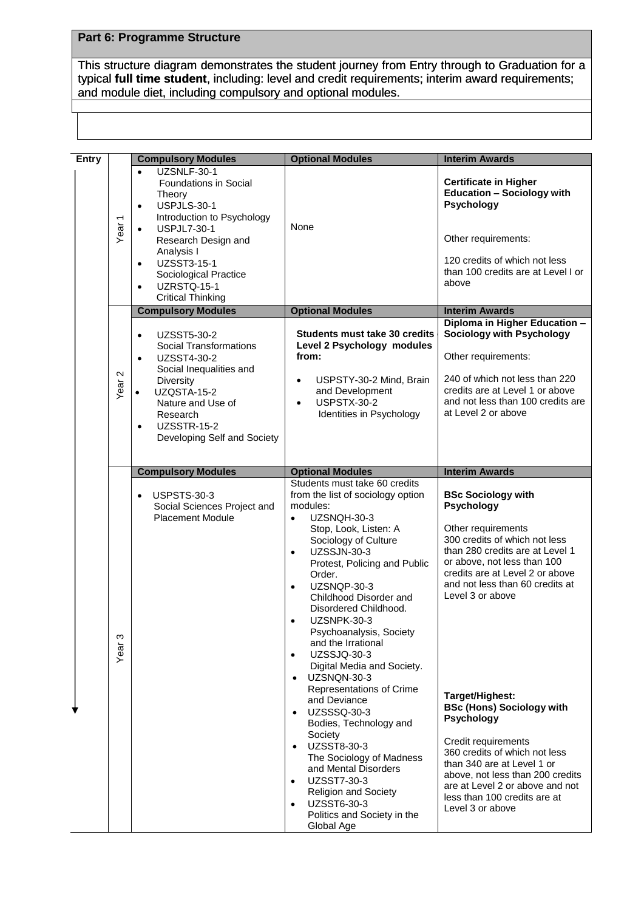## **Part 6: Programme Structure**

This structure diagram demonstrates the student journey from Entry through to Graduation for a typical **full time student**, including: level and credit requirements; interim award requirements; typical full time student, including: level and credit requireme<br>and module diet, including compulsory and optional modules.

| <b>Entry</b> |                   | <b>Compulsory Modules</b>                                                                                                                                                                                                                                                                                         | <b>Optional Modules</b>                                                                                                                                                                                                                                                                                                                                                                                                                                                       | <b>Interim Awards</b>                                                                                                                                                                                                                                                                     |
|--------------|-------------------|-------------------------------------------------------------------------------------------------------------------------------------------------------------------------------------------------------------------------------------------------------------------------------------------------------------------|-------------------------------------------------------------------------------------------------------------------------------------------------------------------------------------------------------------------------------------------------------------------------------------------------------------------------------------------------------------------------------------------------------------------------------------------------------------------------------|-------------------------------------------------------------------------------------------------------------------------------------------------------------------------------------------------------------------------------------------------------------------------------------------|
|              | Year <sub>1</sub> | UZSNLF-30-1<br>$\bullet$<br><b>Foundations in Social</b><br>Theory<br>USPJLS-30-1<br>$\bullet$<br>Introduction to Psychology<br><b>USPJL7-30-1</b><br>$\bullet$<br>Research Design and<br>Analysis I<br>UZSST3-15-1<br>$\bullet$<br>Sociological Practice<br>UZRSTQ-15-1<br>$\bullet$<br><b>Critical Thinking</b> | None                                                                                                                                                                                                                                                                                                                                                                                                                                                                          | <b>Certificate in Higher</b><br><b>Education - Sociology with</b><br>Psychology<br>Other requirements:<br>120 credits of which not less<br>than 100 credits are at Level I or<br>above                                                                                                    |
|              |                   | <b>Compulsory Modules</b>                                                                                                                                                                                                                                                                                         | <b>Optional Modules</b>                                                                                                                                                                                                                                                                                                                                                                                                                                                       | <b>Interim Awards</b>                                                                                                                                                                                                                                                                     |
|              | Year <sub>2</sub> | UZSST5-30-2<br>$\bullet$<br><b>Social Transformations</b><br>UZSST4-30-2<br>$\bullet$<br>Social Inequalities and<br>Diversity<br>UZQSTA-15-2<br>$\bullet$<br>Nature and Use of<br>Research<br><b>UZSSTR-15-2</b><br>$\bullet$<br>Developing Self and Society                                                      | <b>Students must take 30 credits</b><br>Level 2 Psychology modules<br>from:<br>USPSTY-30-2 Mind, Brain<br>$\bullet$<br>and Development<br><b>USPSTX-30-2</b><br>$\bullet$<br>Identities in Psychology                                                                                                                                                                                                                                                                         | Diploma in Higher Education -<br><b>Sociology with Psychology</b><br>Other requirements:<br>240 of which not less than 220<br>credits are at Level 1 or above<br>and not less than 100 credits are<br>at Level 2 or above                                                                 |
|              |                   | <b>Compulsory Modules</b>                                                                                                                                                                                                                                                                                         | <b>Optional Modules</b>                                                                                                                                                                                                                                                                                                                                                                                                                                                       | <b>Interim Awards</b>                                                                                                                                                                                                                                                                     |
|              | ω<br>Year         | <b>USPSTS-30-3</b><br>$\bullet$<br>Social Sciences Project and<br><b>Placement Module</b>                                                                                                                                                                                                                         | Students must take 60 credits<br>from the list of sociology option<br>modules:<br>UZSNQH-30-3<br>$\bullet$<br>Stop, Look, Listen: A<br>Sociology of Culture<br><b>UZSSJN-30-3</b><br>$\bullet$<br>Protest, Policing and Public<br>Order.<br>UZSNQP-30-3<br>$\bullet$<br>Childhood Disorder and<br>Disordered Childhood.<br>UZSNPK-30-3<br>$\bullet$<br>Psychoanalysis, Society<br>and the Irrational<br>UZSSJQ-30-3<br>$\bullet$<br>Digital Media and Society.<br>UZSNQN-30-3 | <b>BSc Sociology with</b><br>Psychology<br>Other requirements<br>300 credits of which not less<br>than 280 credits are at Level 1<br>or above, not less than 100<br>credits are at Level 2 or above<br>and not less than 60 credits at<br>Level 3 or above                                |
|              |                   |                                                                                                                                                                                                                                                                                                                   | Representations of Crime<br>and Deviance<br>UZSSSQ-30-3<br>$\bullet$<br>Bodies, Technology and<br>Society<br>UZSST8-30-3<br>$\bullet$<br>The Sociology of Madness<br>and Mental Disorders<br><b>UZSST7-30-3</b><br>$\bullet$<br><b>Religion and Society</b><br>UZSST6-30-3<br>$\bullet$<br>Politics and Society in the<br>Global Age                                                                                                                                          | Target/Highest:<br><b>BSc (Hons) Sociology with</b><br><b>Psychology</b><br>Credit requirements<br>360 credits of which not less<br>than 340 are at Level 1 or<br>above, not less than 200 credits<br>are at Level 2 or above and not<br>less than 100 credits are at<br>Level 3 or above |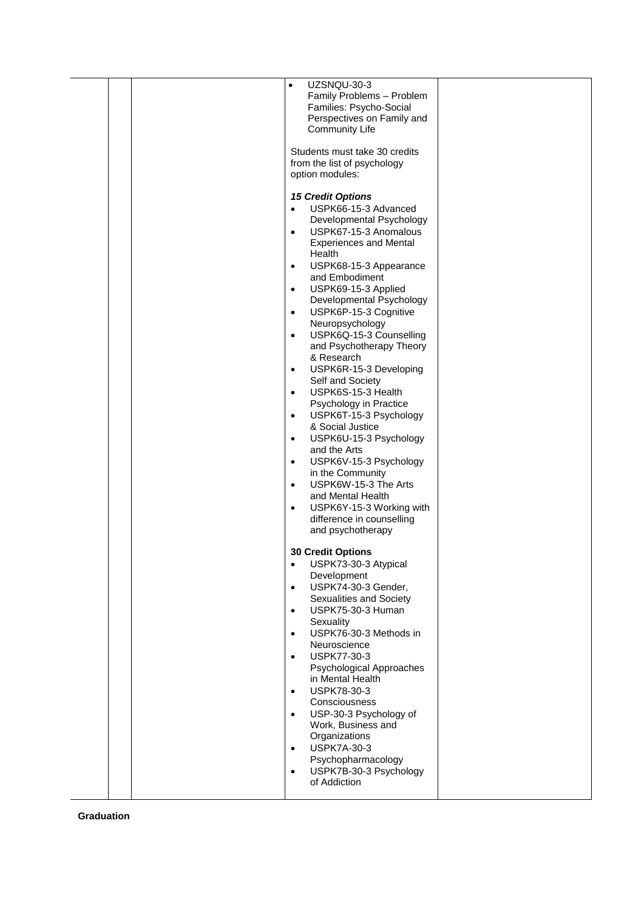|  | UZSNQU-30-3<br>$\bullet$<br>Family Problems - Problem<br>Families: Psycho-Social<br>Perspectives on Family and<br><b>Community Life</b><br>Students must take 30 credits<br>from the list of psychology<br>option modules:<br><b>15 Credit Options</b><br>USPK66-15-3 Advanced<br>$\bullet$<br>Developmental Psychology<br>USPK67-15-3 Anomalous<br>$\bullet$<br><b>Experiences and Mental</b><br>Health<br>USPK68-15-3 Appearance<br>$\bullet$<br>and Embodiment<br>USPK69-15-3 Applied<br>$\bullet$<br>Developmental Psychology<br>USPK6P-15-3 Cognitive<br>$\bullet$<br>Neuropsychology<br>USPK6Q-15-3 Counselling<br>$\bullet$<br>and Psychotherapy Theory<br>& Research<br>USPK6R-15-3 Developing<br>$\bullet$<br>Self and Society |  |
|--|-----------------------------------------------------------------------------------------------------------------------------------------------------------------------------------------------------------------------------------------------------------------------------------------------------------------------------------------------------------------------------------------------------------------------------------------------------------------------------------------------------------------------------------------------------------------------------------------------------------------------------------------------------------------------------------------------------------------------------------------|--|
|  | USPK6S-15-3 Health<br>$\bullet$<br>Psychology in Practice<br>USPK6T-15-3 Psychology<br>$\bullet$<br>& Social Justice<br>USPK6U-15-3 Psychology<br>$\bullet$<br>and the Arts<br>USPK6V-15-3 Psychology<br>$\bullet$<br>in the Community<br>USPK6W-15-3 The Arts<br>$\bullet$<br>and Mental Health<br>USPK6Y-15-3 Working with<br>$\bullet$<br>difference in counselling<br>and psychotherapy                                                                                                                                                                                                                                                                                                                                             |  |
|  | <b>30 Credit Options</b><br>USPK73-30-3 Atypical<br>$\bullet$<br>Development<br>USPK74-30-3 Gender,<br>$\bullet$<br>Sexualities and Society<br>USPK75-30-3 Human<br>$\bullet$<br>Sexuality<br>USPK76-30-3 Methods in<br>$\bullet$<br>Neuroscience<br><b>USPK77-30-3</b><br>$\bullet$<br>Psychological Approaches<br>in Mental Health<br>USPK78-30-3<br>$\bullet$<br>Consciousness<br>USP-30-3 Psychology of<br>$\bullet$<br>Work, Business and<br>Organizations<br><b>USPK7A-30-3</b><br>$\bullet$<br>Psychopharmacology<br>USPK7B-30-3 Psychology<br>$\bullet$<br>of Addiction                                                                                                                                                         |  |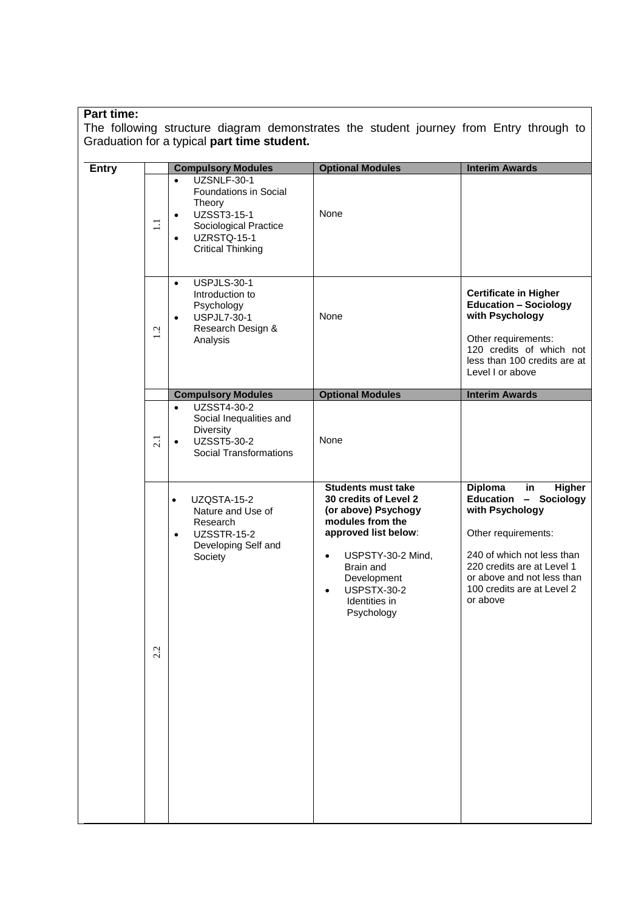#### **Part time:**

The following structure diagram demonstrates the student journey from Entry through to Graduation for a typical **part time student.**

| <b>Entry</b> |       | <b>Compulsory Modules</b>                                                                                                                                                | <b>Optional Modules</b>                                                                                                                                                                                                                               | <b>Interim Awards</b>                                                                                                                                                                                                                                              |
|--------------|-------|--------------------------------------------------------------------------------------------------------------------------------------------------------------------------|-------------------------------------------------------------------------------------------------------------------------------------------------------------------------------------------------------------------------------------------------------|--------------------------------------------------------------------------------------------------------------------------------------------------------------------------------------------------------------------------------------------------------------------|
|              | $\Xi$ | UZSNLF-30-1<br>$\bullet$<br>Foundations in Social<br>Theory<br>UZSST3-15-1<br>$\bullet$<br>Sociological Practice<br>UZRSTQ-15-1<br>$\bullet$<br><b>Critical Thinking</b> | None                                                                                                                                                                                                                                                  |                                                                                                                                                                                                                                                                    |
|              | 1.2   | USPJLS-30-1<br>$\bullet$<br>Introduction to<br>Psychology<br><b>USPJL7-30-1</b><br>$\bullet$<br>Research Design &<br>Analysis                                            | None                                                                                                                                                                                                                                                  | <b>Certificate in Higher</b><br><b>Education - Sociology</b><br>with Psychology<br>Other requirements:<br>120 credits of which not<br>less than 100 credits are at<br>Level I or above                                                                             |
|              |       | <b>Compulsory Modules</b>                                                                                                                                                | <b>Optional Modules</b>                                                                                                                                                                                                                               | <b>Interim Awards</b>                                                                                                                                                                                                                                              |
|              | 2.1   | UZSST4-30-2<br>$\bullet$<br>Social Inequalities and<br>Diversity<br>UZSST5-30-2<br>$\bullet$<br><b>Social Transformations</b>                                            | None                                                                                                                                                                                                                                                  |                                                                                                                                                                                                                                                                    |
|              | 2.2   | UZQSTA-15-2<br>$\bullet$<br>Nature and Use of<br>Research<br><b>UZSSTR-15-2</b><br>$\bullet$<br>Developing Self and<br>Society                                           | <b>Students must take</b><br>30 credits of Level 2<br>(or above) Psychogy<br>modules from the<br>approved list below:<br>USPSTY-30-2 Mind,<br>$\bullet$<br>Brain and<br>Development<br><b>USPSTX-30-2</b><br>$\bullet$<br>Identities in<br>Psychology | <b>Diploma</b><br>in<br><b>Higher</b><br>Education<br>Sociology<br>$\qquad \qquad -$<br>with Psychology<br>Other requirements:<br>240 of which not less than<br>220 credits are at Level 1<br>or above and not less than<br>100 credits are at Level 2<br>or above |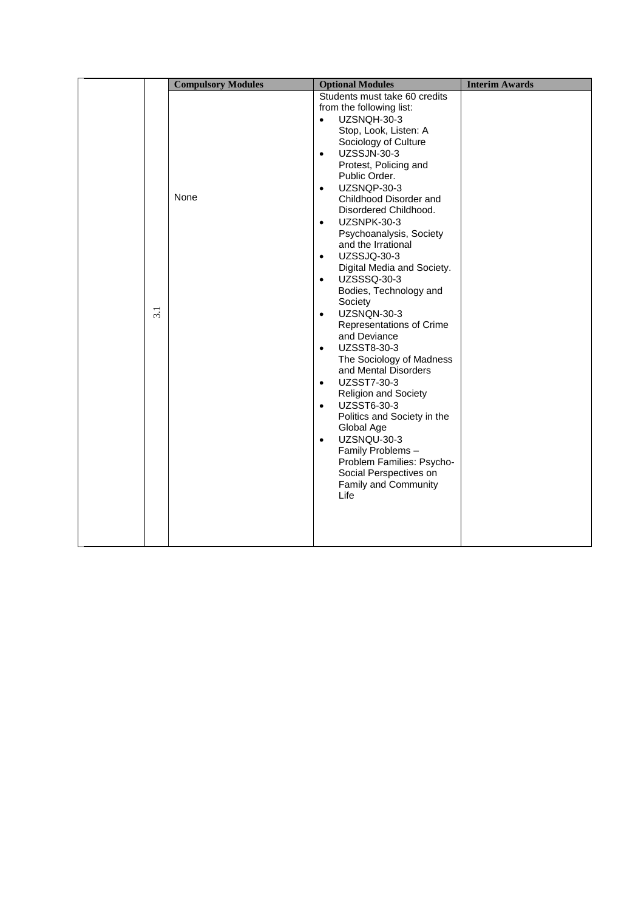|                  | <b>Compulsory Modules</b> | <b>Optional Modules</b>                                                                                                                                                                                                                                                                                                                                                                                                                                                                                                                                                                                                                                                                                                                                                                                                                                                                                                                        | <b>Interim Awards</b> |
|------------------|---------------------------|------------------------------------------------------------------------------------------------------------------------------------------------------------------------------------------------------------------------------------------------------------------------------------------------------------------------------------------------------------------------------------------------------------------------------------------------------------------------------------------------------------------------------------------------------------------------------------------------------------------------------------------------------------------------------------------------------------------------------------------------------------------------------------------------------------------------------------------------------------------------------------------------------------------------------------------------|-----------------------|
| $\overline{3.1}$ | None                      | Students must take 60 credits<br>from the following list:<br>UZSNQH-30-3<br>$\bullet$<br>Stop, Look, Listen: A<br>Sociology of Culture<br><b>UZSSJN-30-3</b><br>$\bullet$<br>Protest, Policing and<br>Public Order.<br>UZSNQP-30-3<br>$\bullet$<br>Childhood Disorder and<br>Disordered Childhood.<br>UZSNPK-30-3<br>$\bullet$<br>Psychoanalysis, Society<br>and the Irrational<br>UZSSJQ-30-3<br>$\bullet$<br>Digital Media and Society.<br>UZSSSQ-30-3<br>$\bullet$<br>Bodies, Technology and<br>Society<br>UZSNQN-30-3<br>$\bullet$<br>Representations of Crime<br>and Deviance<br>UZSST8-30-3<br>$\bullet$<br>The Sociology of Madness<br>and Mental Disorders<br>UZSST7-30-3<br>$\bullet$<br><b>Religion and Society</b><br>UZSST6-30-3<br>$\bullet$<br>Politics and Society in the<br>Global Age<br>UZSNQU-30-3<br>$\bullet$<br>Family Problems -<br>Problem Families: Psycho-<br>Social Perspectives on<br>Family and Community<br>Life |                       |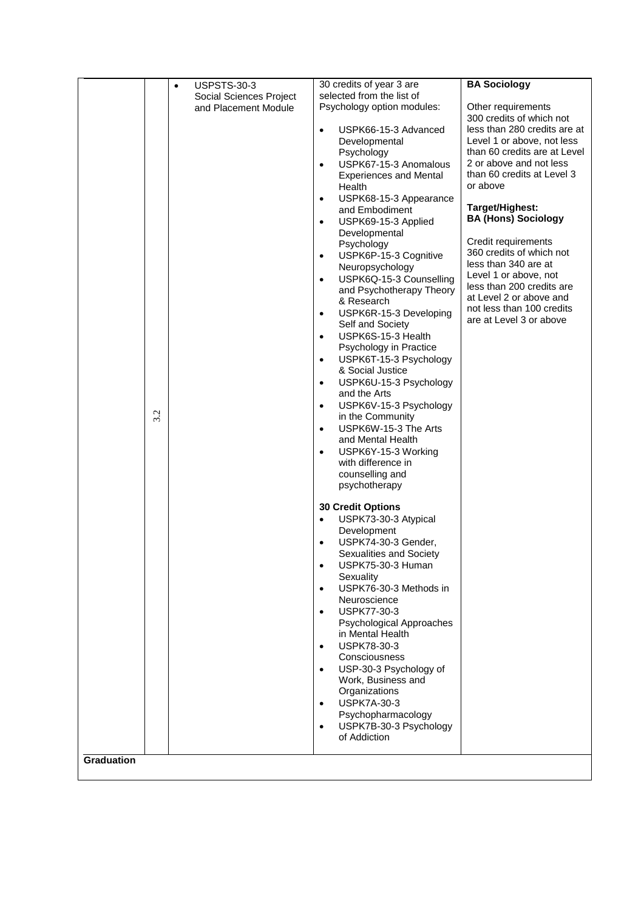|                   |     | <b>USPSTS-30-3</b><br>$\bullet$ | 30 credits of year 3 are                                | <b>BA Sociology</b>                                  |
|-------------------|-----|---------------------------------|---------------------------------------------------------|------------------------------------------------------|
|                   |     | <b>Social Sciences Project</b>  | selected from the list of                               |                                                      |
|                   |     | and Placement Module            | Psychology option modules:                              | Other requirements                                   |
|                   |     |                                 |                                                         | 300 credits of which not                             |
|                   |     |                                 | USPK66-15-3 Advanced<br>$\bullet$                       | less than 280 credits are at                         |
|                   |     |                                 | Developmental                                           | Level 1 or above, not less                           |
|                   |     |                                 | Psychology                                              | than 60 credits are at Level                         |
|                   |     |                                 | USPK67-15-3 Anomalous<br>$\bullet$                      | 2 or above and not less                              |
|                   |     |                                 | <b>Experiences and Mental</b>                           | than 60 credits at Level 3                           |
|                   |     |                                 | Health                                                  | or above                                             |
|                   |     |                                 | USPK68-15-3 Appearance<br>$\bullet$                     | Target/Highest:                                      |
|                   |     |                                 | and Embodiment                                          | <b>BA (Hons) Sociology</b>                           |
|                   |     |                                 | USPK69-15-3 Applied<br>$\bullet$                        |                                                      |
|                   |     |                                 | Developmental<br>Psychology                             | Credit requirements                                  |
|                   |     |                                 | USPK6P-15-3 Cognitive<br>٠                              | 360 credits of which not                             |
|                   |     |                                 | Neuropsychology                                         | less than 340 are at                                 |
|                   |     |                                 | USPK6Q-15-3 Counselling<br>$\bullet$                    | Level 1 or above, not                                |
|                   |     |                                 | and Psychotherapy Theory                                | less than 200 credits are                            |
|                   |     |                                 | & Research                                              | at Level 2 or above and                              |
|                   |     |                                 | USPK6R-15-3 Developing<br>$\bullet$                     | not less than 100 credits<br>are at Level 3 or above |
|                   |     |                                 | Self and Society                                        |                                                      |
|                   |     |                                 | USPK6S-15-3 Health<br>$\bullet$                         |                                                      |
|                   |     |                                 | Psychology in Practice                                  |                                                      |
|                   |     |                                 | USPK6T-15-3 Psychology<br>$\bullet$                     |                                                      |
|                   |     |                                 | & Social Justice<br>USPK6U-15-3 Psychology<br>$\bullet$ |                                                      |
|                   |     |                                 | and the Arts                                            |                                                      |
|                   |     |                                 | USPK6V-15-3 Psychology<br>٠                             |                                                      |
|                   | 3.2 |                                 | in the Community                                        |                                                      |
|                   |     |                                 | USPK6W-15-3 The Arts<br>$\bullet$                       |                                                      |
|                   |     |                                 | and Mental Health                                       |                                                      |
|                   |     |                                 | USPK6Y-15-3 Working<br>٠                                |                                                      |
|                   |     |                                 | with difference in                                      |                                                      |
|                   |     |                                 | counselling and                                         |                                                      |
|                   |     |                                 | psychotherapy                                           |                                                      |
|                   |     |                                 | <b>30 Credit Options</b>                                |                                                      |
|                   |     |                                 | USPK73-30-3 Atypical<br>$\bullet$                       |                                                      |
|                   |     |                                 | Development                                             |                                                      |
|                   |     |                                 | USPK74-30-3 Gender,<br>٠                                |                                                      |
|                   |     |                                 | Sexualities and Society                                 |                                                      |
|                   |     |                                 | USPK75-30-3 Human<br>$\bullet$                          |                                                      |
|                   |     |                                 | Sexuality                                               |                                                      |
|                   |     |                                 | USPK76-30-3 Methods in<br>$\bullet$<br>Neuroscience     |                                                      |
|                   |     |                                 | USPK77-30-3<br>$\bullet$                                |                                                      |
|                   |     |                                 | Psychological Approaches                                |                                                      |
|                   |     |                                 | in Mental Health                                        |                                                      |
|                   |     |                                 | USPK78-30-3<br>$\bullet$                                |                                                      |
|                   |     |                                 | Consciousness                                           |                                                      |
|                   |     |                                 | USP-30-3 Psychology of<br>$\bullet$                     |                                                      |
|                   |     |                                 | Work, Business and                                      |                                                      |
|                   |     |                                 | Organizations                                           |                                                      |
|                   |     |                                 | <b>USPK7A-30-3</b><br>$\bullet$                         |                                                      |
|                   |     |                                 | Psychopharmacology                                      |                                                      |
|                   |     |                                 | USPK7B-30-3 Psychology<br>$\bullet$<br>of Addiction     |                                                      |
|                   |     |                                 |                                                         |                                                      |
| <b>Graduation</b> |     |                                 |                                                         |                                                      |
|                   |     |                                 |                                                         |                                                      |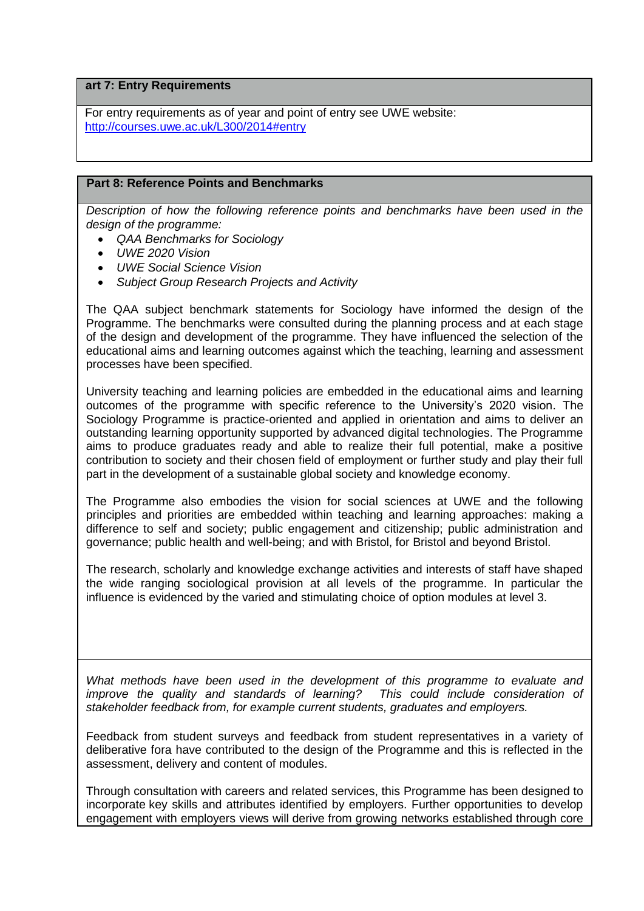**art 7: Entry Requirements**

For entry requirements as of year and point of entry see UWE website: <http://courses.uwe.ac.uk/L300/2014#entry>

## **Part 8: Reference Points and Benchmarks**

*Description of how the following reference points and benchmarks have been used in the design of the programme:*

- *QAA Benchmarks for Sociology*
- *UWE 2020 Vision*
- *UWE Social Science Vision*
- *Subject Group Research Projects and Activity*

The QAA subject benchmark statements for Sociology have informed the design of the Programme. The benchmarks were consulted during the planning process and at each stage of the design and development of the programme. They have influenced the selection of the educational aims and learning outcomes against which the teaching, learning and assessment processes have been specified.

University teaching and learning policies are embedded in the educational aims and learning outcomes of the programme with specific reference to the University's 2020 vision. The Sociology Programme is practice-oriented and applied in orientation and aims to deliver an outstanding learning opportunity supported by advanced digital technologies. The Programme aims to produce graduates ready and able to realize their full potential, make a positive contribution to society and their chosen field of employment or further study and play their full part in the development of a sustainable global society and knowledge economy.

The Programme also embodies the vision for social sciences at UWE and the following principles and priorities are embedded within teaching and learning approaches: making a difference to self and society; public engagement and citizenship; public administration and governance; public health and well-being; and with Bristol, for Bristol and beyond Bristol.

The research, scholarly and knowledge exchange activities and interests of staff have shaped the wide ranging sociological provision at all levels of the programme. In particular the influence is evidenced by the varied and stimulating choice of option modules at level 3.

What methods have been used in the development of this programme to evaluate and *improve the quality and standards of learning? This could include consideration of stakeholder feedback from, for example current students, graduates and employers.*

Feedback from student surveys and feedback from student representatives in a variety of deliberative fora have contributed to the design of the Programme and this is reflected in the assessment, delivery and content of modules.

Through consultation with careers and related services, this Programme has been designed to incorporate key skills and attributes identified by employers. Further opportunities to develop engagement with employers views will derive from growing networks established through core